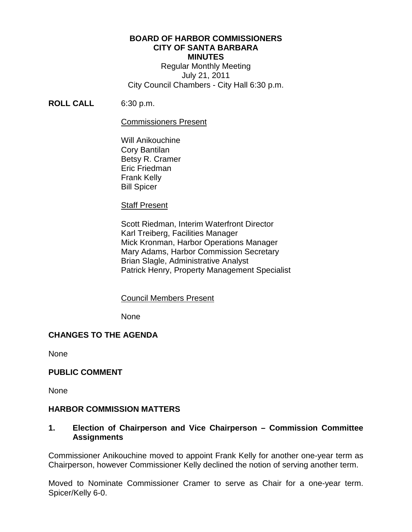#### **BOARD OF HARBOR COMMISSIONERS CITY OF SANTA BARBARA MINUTES**

Regular Monthly Meeting July 21, 2011 City Council Chambers - City Hall 6:30 p.m.

## **ROLL CALL** 6:30 p.m.

#### Commissioners Present

Will Anikouchine Cory Bantilan Betsy R. Cramer Eric Friedman Frank Kelly Bill Spicer

#### Staff Present

Scott Riedman, Interim Waterfront Director Karl Treiberg, Facilities Manager Mick Kronman, Harbor Operations Manager Mary Adams, Harbor Commission Secretary Brian Slagle, Administrative Analyst Patrick Henry, Property Management Specialist

#### Council Members Present

None

## **CHANGES TO THE AGENDA**

None

#### **PUBLIC COMMENT**

None

## **HARBOR COMMISSION MATTERS**

## **1. Election of Chairperson and Vice Chairperson – Commission Committee Assignments**

Commissioner Anikouchine moved to appoint Frank Kelly for another one-year term as Chairperson, however Commissioner Kelly declined the notion of serving another term.

Moved to Nominate Commissioner Cramer to serve as Chair for a one-year term. Spicer/Kelly 6-0.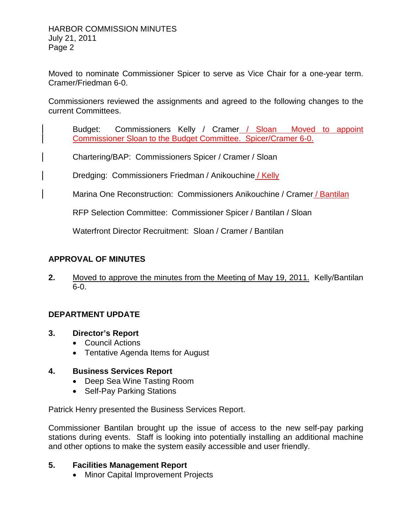Moved to nominate Commissioner Spicer to serve as Vice Chair for a one-year term. Cramer/Friedman 6-0.

Commissioners reviewed the assignments and agreed to the following changes to the current Committees.

Budget: Commissioners Kelly / Cramer / Sloan Moved to appoint Commissioner Sloan to the Budget Committee. Spicer/Cramer 6-0.

Chartering/BAP: Commissioners Spicer / Cramer / Sloan

Dredging: Commissioners Friedman / Anikouchine / Kelly

Marina One Reconstruction: Commissioners Anikouchine / Cramer / Bantilan

RFP Selection Committee: Commissioner Spicer / Bantilan / Sloan

Waterfront Director Recruitment: Sloan / Cramer / Bantilan

# **APPROVAL OF MINUTES**

**2.** Moved to approve the minutes from the Meeting of May 19, 2011. Kelly/Bantilan 6-0.

## **DEPARTMENT UPDATE**

- **3. Director's Report**
	- Council Actions
	- Tentative Agenda Items for August

## **4. Business Services Report**

- Deep Sea Wine Tasting Room
- Self-Pay Parking Stations

Patrick Henry presented the Business Services Report.

Commissioner Bantilan brought up the issue of access to the new self-pay parking stations during events. Staff is looking into potentially installing an additional machine and other options to make the system easily accessible and user friendly.

## **5. Facilities Management Report**

• Minor Capital Improvement Projects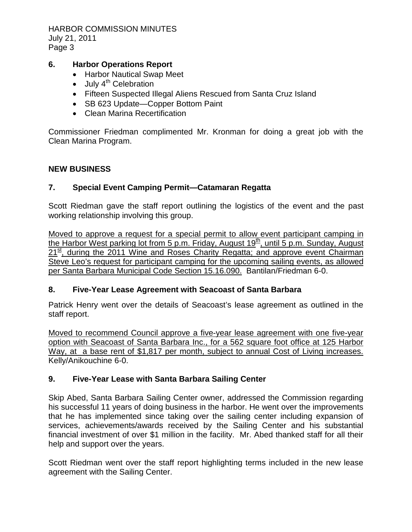HARBOR COMMISSION MINUTES July 21, 2011 Page 3

# **6. Harbor Operations Report**

- Harbor Nautical Swap Meet
- $\bullet$  July  $4^{th}$  Celebration
- Fifteen Suspected Illegal Aliens Rescued from Santa Cruz Island
- SB 623 Update—Copper Bottom Paint
- Clean Marina Recertification

Commissioner Friedman complimented Mr. Kronman for doing a great job with the Clean Marina Program.

## **NEW BUSINESS**

## **7. Special Event Camping Permit—Catamaran Regatta**

Scott Riedman gave the staff report outlining the logistics of the event and the past working relationship involving this group.

Moved to approve a request for a special permit to allow event participant camping in the Harbor West parking lot from 5 p.m. Friday, August  $19<sup>th</sup>$ , until 5 p.m. Sunday, August  $21^{\underline{\text{st}}}$ , during the 2011 Wine and Roses Charity Regatta; and approve event Chairman Steve Leo's request for participant camping for the upcoming sailing events, as allowed per Santa Barbara Municipal Code Section 15.16.090. Bantilan/Friedman 6-0.

## **8. Five-Year Lease Agreement with Seacoast of Santa Barbara**

Patrick Henry went over the details of Seacoast's lease agreement as outlined in the staff report.

Moved to recommend Council approve a five-year lease agreement with one five-year option with Seacoast of Santa Barbara Inc., for a 562 square foot office at 125 Harbor Way, at a base rent of \$1,817 per month, subject to annual Cost of Living increases. Kelly/Anikouchine 6-0.

## **9. Five-Year Lease with Santa Barbara Sailing Center**

Skip Abed, Santa Barbara Sailing Center owner, addressed the Commission regarding his successful 11 years of doing business in the harbor. He went over the improvements that he has implemented since taking over the sailing center including expansion of services, achievements/awards received by the Sailing Center and his substantial financial investment of over \$1 million in the facility. Mr. Abed thanked staff for all their help and support over the years.

Scott Riedman went over the staff report highlighting terms included in the new lease agreement with the Sailing Center.